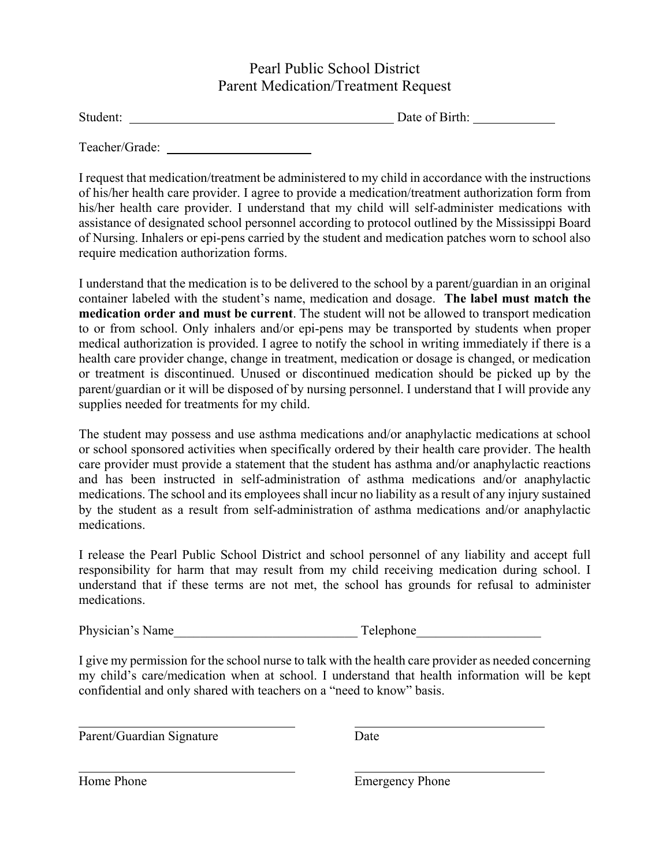## Pearl Public School District Parent Medication/Treatment Request

| Student: |  |
|----------|--|
|          |  |

Date of Birth:

Teacher/Grade:

I request that medication/treatment be administered to my child in accordance with the instructions of his/her health care provider. I agree to provide a medication/treatment authorization form from his/her health care provider. I understand that my child will self-administer medications with assistance of designated school personnel according to protocol outlined by the Mississippi Board of Nursing. Inhalers or epi-pens carried by the student and medication patches worn to school also require medication authorization forms.

I understand that the medication is to be delivered to the school by a parent/guardian in an original container labeled with the student's name, medication and dosage. **The label must match the medication order and must be current**. The student will not be allowed to transport medication to or from school. Only inhalers and/or epi-pens may be transported by students when proper medical authorization is provided. I agree to notify the school in writing immediately if there is a health care provider change, change in treatment, medication or dosage is changed, or medication or treatment is discontinued. Unused or discontinued medication should be picked up by the parent/guardian or it will be disposed of by nursing personnel. I understand that I will provide any supplies needed for treatments for my child.

The student may possess and use asthma medications and/or anaphylactic medications at school or school sponsored activities when specifically ordered by their health care provider. The health care provider must provide a statement that the student has asthma and/or anaphylactic reactions and has been instructed in self-administration of asthma medications and/or anaphylactic medications. The school and its employees shall incur no liability as a result of any injury sustained by the student as a result from self-administration of asthma medications and/or anaphylactic medications.

I release the Pearl Public School District and school personnel of any liability and accept full responsibility for harm that may result from my child receiving medication during school. I understand that if these terms are not met, the school has grounds for refusal to administer medications.

Physician's Name Telephone

I give my permission for the school nurse to talk with the health care provider as needed concerning my child's care/medication when at school. I understand that health information will be kept confidential and only shared with teachers on a "need to know" basis.

Parent/Guardian Signature Date

l

 $\overline{a}$ 

Home Phone **Emergency** Phone